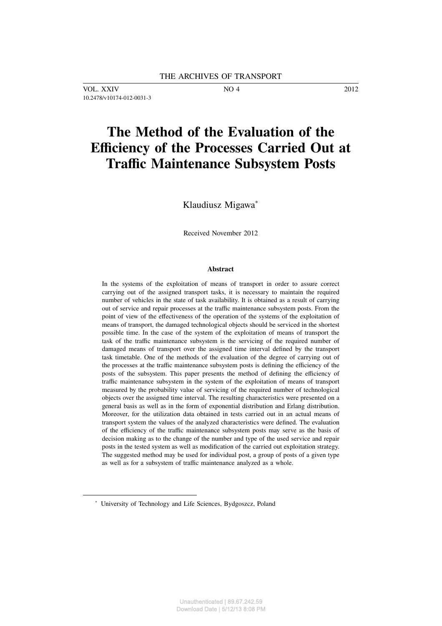VOL. XXIV NO 4 2012 10.2478/v10174-012-0031-3

# **The Method of the Evaluation of the Efficiency of the Processes Carried Out at Traffic Maintenance Subsystem Posts**

Klaudiusz Migawa<sup>∗</sup>

Received November 2012

#### **Abstract**

In the systems of the exploitation of means of transport in order to assure correct carrying out of the assigned transport tasks, it is necessary to maintain the required number of vehicles in the state of task availability. It is obtained as a result of carrying out of service and repair processes at the traffic maintenance subsystem posts. From the point of view of the effectiveness of the operation of the systems of the exploitation of means of transport, the damaged technological objects should be serviced in the shortest possible time. In the case of the system of the exploitation of means of transport the task of the traffic maintenance subsystem is the servicing of the required number of damaged means of transport over the assigned time interval defined by the transport task timetable. One of the methods of the evaluation of the degree of carrying out of the processes at the traffic maintenance subsystem posts is defining the efficiency of the posts of the subsystem. This paper presents the method of defining the efficiency of traffic maintenance subsystem in the system of the exploitation of means of transport measured by the probability value of servicing of the required number of technological objects over the assigned time interval. The resulting characteristics were presented on a general basis as well as in the form of exponential distribution and Erlang distribution. Moreover, for the utilization data obtained in tests carried out in an actual means of transport system the values of the analyzed characteristics were defined. The evaluation of the efficiency of the traffic maintenance subsystem posts may serve as the basis of decision making as to the change of the number and type of the used service and repair posts in the tested system as well as modification of the carried out exploitation strategy. The suggested method may be used for individual post, a group of posts of a given type as well as for a subsystem of traffic maintenance analyzed as a whole.

<sup>∗</sup> University of Technology and Life Sciences, Bydgoszcz, Poland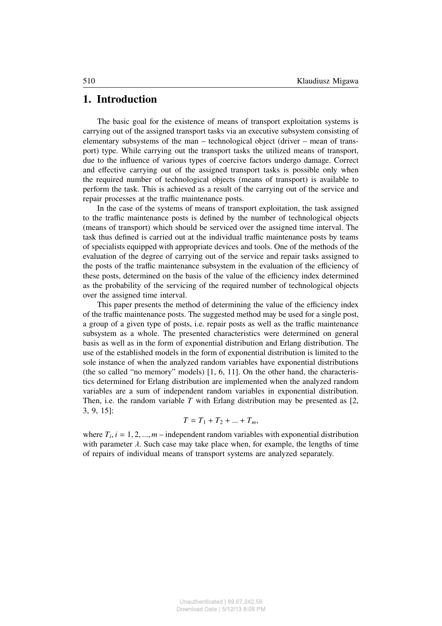### **1. Introduction**

The basic goal for the existence of means of transport exploitation systems is carrying out of the assigned transport tasks via an executive subsystem consisting of elementary subsystems of the man – technological object (driver – mean of transport) type. While carrying out the transport tasks the utilized means of transport, due to the influence of various types of coercive factors undergo damage. Correct and effective carrying out of the assigned transport tasks is possible only when the required number of technological objects (means of transport) is available to perform the task. This is achieved as a result of the carrying out of the service and repair processes at the traffic maintenance posts.

In the case of the systems of means of transport exploitation, the task assigned to the traffic maintenance posts is defined by the number of technological objects (means of transport) which should be serviced over the assigned time interval. The task thus defined is carried out at the individual traffic maintenance posts by teams of specialists equipped with appropriate devices and tools. One of the methods of the evaluation of the degree of carrying out of the service and repair tasks assigned to the posts of the traffic maintenance subsystem in the evaluation of the efficiency of these posts, determined on the basis of the value of the efficiency index determined as the probability of the servicing of the required number of technological objects over the assigned time interval.

This paper presents the method of determining the value of the efficiency index of the traffic maintenance posts. The suggested method may be used for a single post, a group of a given type of posts, i.e. repair posts as well as the traffic maintenance subsystem as a whole. The presented characteristics were determined on general basis as well as in the form of exponential distribution and Erlang distribution. The use of the established models in the form of exponential distribution is limited to the sole instance of when the analyzed random variables have exponential distributions (the so called "no memory" models) [1, 6, 11]. On the other hand, the characteristics determined for Erlang distribution are implemented when the analyzed random variables are a sum of independent random variables in exponential distribution. Then, i.e. the random variable *T* with Erlang distribution may be presented as [2, 3, 9, 15]:

$$
T=T_1+T_2+\ldots+T_m,
$$

where  $T_i$ ,  $i = 1, 2, ..., m$  – independent random variables with exponential distribution with parameter  $\lambda$ . Such case may take place when, for example, the lengths of time of repairs of individual means of transport systems are analyzed separately.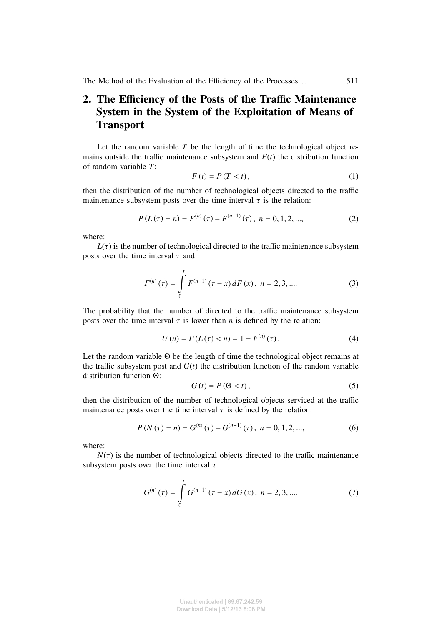# **2. The Efficiency of the Posts of the Traffic Maintenance System in the System of the Exploitation of Means of Transport**

Let the random variable *T* be the length of time the technological object remains outside the traffic maintenance subsystem and  $F(t)$  the distribution function of random variable *T*:

$$
F(t) = P(T < t), \tag{1}
$$

then the distribution of the number of technological objects directed to the traffic maintenance subsystem posts over the time interval  $\tau$  is the relation:

$$
P(L(\tau) = n) = F^{(n)}(\tau) - F^{(n+1)}(\tau), \quad n = 0, 1, 2, \dots,
$$
 (2)

where:

 $L(\tau)$  is the number of technological directed to the traffic maintenance subsystem posts over the time interval  $\tau$  and

$$
F^{(n)}(\tau) = \int_{0}^{t} F^{(n-1)}(\tau - x) dF(x), \quad n = 2, 3, ....
$$
 (3)

The probability that the number of directed to the traffic maintenance subsystem posts over the time interval  $\tau$  is lower than *n* is defined by the relation:

$$
U(n) = P(L(\tau) < n) = 1 - F^{(n)}(\tau). \tag{4}
$$

Let the random variable Θ be the length of time the technological object remains at the traffic subsystem post and  $G(t)$  the distribution function of the random variable distribution function Θ:

$$
G(t) = P(\Theta < t), \tag{5}
$$

then the distribution of the number of technological objects serviced at the traffic maintenance posts over the time interval  $\tau$  is defined by the relation:

$$
P(N(\tau) = n) = G^{(n)}(\tau) - G^{(n+1)}(\tau), \ n = 0, 1, 2, \dots,
$$
\n(6)

where:

 $N(\tau)$  is the number of technological objects directed to the traffic maintenance subsystem posts over the time interval  $\tau$ 

$$
G^{(n)}(\tau) = \int_{0}^{t} G^{(n-1)}(\tau - x) dG(x), \quad n = 2, 3, .... \tag{7}
$$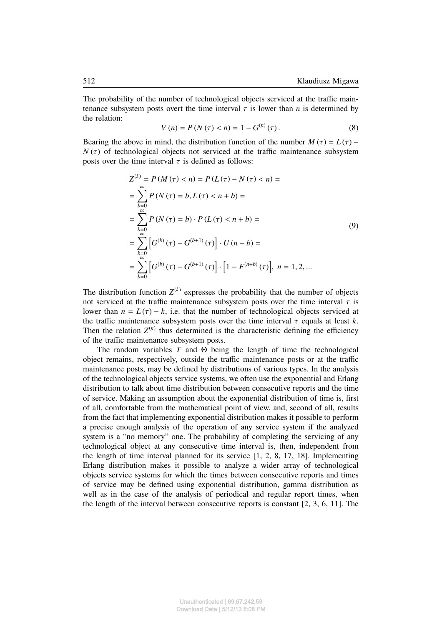The probability of the number of technological objects serviced at the traffic maintenance subsystem posts overt the time interval  $\tau$  is lower than *n* is determined by the relation:

$$
V(n) = P(N(\tau) < n) = 1 - G^{(n)}(\tau). \tag{8}
$$

Bearing the above in mind, the distribution function of the number  $M(\tau) = L(\tau) N(\tau)$  of technological objects not serviced at the traffic maintenance subsystem posts over the time interval  $\tau$  is defined as follows:

$$
Z^{(k)} = P(M(\tau) < n) = P(L(\tau) - N(\tau) < n) =
$$
\n
$$
= \sum_{b=0}^{\infty} P(N(\tau) = b, L(\tau) < n + b) =
$$
\n
$$
= \sum_{b=0}^{\infty} P(N(\tau) = b) \cdot P(L(\tau) < n + b) =
$$
\n
$$
= \sum_{b=0}^{\infty} \left[ G^{(b)}(\tau) - G^{(b+1)}(\tau) \right] \cdot U(n + b) =
$$
\n
$$
= \sum_{b=0}^{\infty} \left[ G^{(b)}(\tau) - G^{(b+1)}(\tau) \right] \cdot \left[ 1 - F^{(n+b)}(\tau) \right], \ n = 1, 2, ...
$$
\n(9)

The distribution function  $Z^{(k)}$  expresses the probability that the number of objects not serviced at the traffic maintenance subsystem posts over the time interval  $\tau$  is lower than  $n = L(\tau) - k$ , i.e. that the number of technological objects serviced at the traffic maintenance subsystem posts over the time interval  $\tau$  equals at least  $k$ . Then the relation  $Z^{(k)}$  thus determined is the characteristic defining the efficiency of the traffic maintenance subsystem posts.

The random variables  $T$  and  $\Theta$  being the length of time the technological object remains, respectively, outside the traffic maintenance posts or at the traffic maintenance posts, may be defined by distributions of various types. In the analysis of the technological objects service systems, we often use the exponential and Erlang distribution to talk about time distribution between consecutive reports and the time of service. Making an assumption about the exponential distribution of time is, first of all, comfortable from the mathematical point of view, and, second of all, results from the fact that implementing exponential distribution makes it possible to perform a precise enough analysis of the operation of any service system if the analyzed system is a "no memory" one. The probability of completing the servicing of any technological object at any consecutive time interval is, then, independent from the length of time interval planned for its service [1, 2, 8, 17, 18]. Implementing Erlang distribution makes it possible to analyze a wider array of technological objects service systems for which the times between consecutive reports and times of service may be defined using exponential distribution, gamma distribution as well as in the case of the analysis of periodical and regular report times, when the length of the interval between consecutive reports is constant [2, 3, 6, 11]. The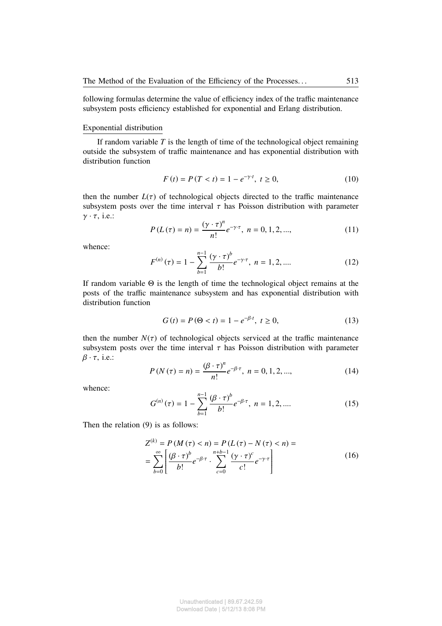following formulas determine the value of efficiency index of the traffic maintenance subsystem posts efficiency established for exponential and Erlang distribution.

#### Exponential distribution

If random variable *T* is the length of time of the technological object remaining outside the subsystem of traffic maintenance and has exponential distribution with distribution function

$$
F(t) = P(T < t) = 1 - e^{-\gamma \cdot t}, \ t \ge 0,\tag{10}
$$

then the number  $L(\tau)$  of technological objects directed to the traffic maintenance subsystem posts over the time interval  $\tau$  has Poisson distribution with parameter  $\gamma \cdot \tau$ , i.e.:

$$
P(L(\tau) = n) = \frac{(\gamma \cdot \tau)^n}{n!} e^{-\gamma \cdot \tau}, \ n = 0, 1, 2, \dots,
$$
 (11)

whence:

$$
F^{(n)}(\tau) = 1 - \sum_{b=1}^{n-1} \frac{(\gamma \cdot \tau)^b}{b!} e^{-\gamma \cdot \tau}, \ n = 1, 2, .... \tag{12}
$$

If random variable Θ is the length of time the technological object remains at the posts of the traffic maintenance subsystem and has exponential distribution with distribution function

$$
G(t) = P(\Theta < t) = 1 - e^{-\beta \cdot t}, \ t \ge 0,
$$
\n(13)

then the number  $N(\tau)$  of technological objects serviced at the traffic maintenance subsystem posts over the time interval  $\tau$  has Poisson distribution with parameter  $\beta \cdot \tau$ , i.e.:

$$
P(N(\tau) = n) = \frac{(\beta \cdot \tau)^n}{n!} e^{-\beta \cdot \tau}, \ n = 0, 1, 2, \dots,
$$
 (14)

whence:

$$
G^{(n)}(\tau) = 1 - \sum_{b=1}^{n-1} \frac{(\beta \cdot \tau)^b}{b!} e^{-\beta \cdot \tau}, \ n = 1, 2, .... \tag{15}
$$

Then the relation (9) is as follows:

$$
Z^{(k)} = P(M(\tau) < n) = P(L(\tau) - N(\tau) < n) =
$$
\n
$$
= \sum_{b=0}^{\infty} \left[ \frac{(\beta \cdot \tau)^b}{b!} e^{-\beta \cdot \tau} \cdot \sum_{c=0}^{n+b-1} \frac{(\gamma \cdot \tau)^c}{c!} e^{-\gamma \cdot \tau} \right]
$$
\n(16)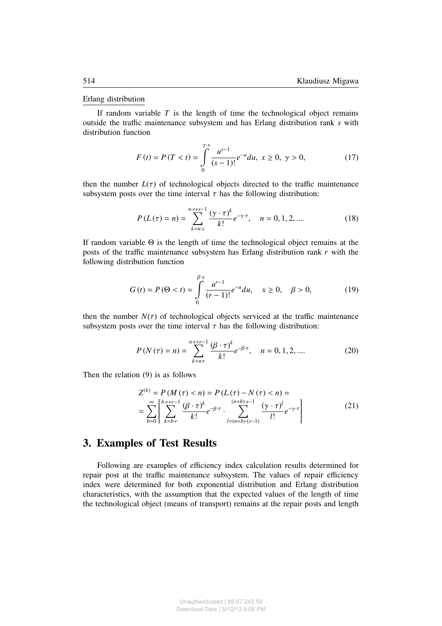#### Erlang distribution

If random variable  $T$  is the length of time the technological object remains outside the traffic maintenance subsystem and has Erlang distribution rank *s* with distribution function

$$
F(t) = P(T < t) = \int_{0}^{\gamma} \frac{u^{s-1}}{(s-1)!} e^{-u} du, \ x \ge 0, \ \gamma > 0,
$$
 (17)

then the number  $L(\tau)$  of technological objects directed to the traffic maintenance subsystem posts over the time interval  $\tau$  has the following distribution:

$$
P(L(\tau) = n) = \sum_{k=n \cdot s}^{n \cdot s + s - 1} \frac{(\gamma \cdot \tau)^k}{k!} e^{-\gamma \cdot \tau}, \quad n = 0, 1, 2, .... \tag{18}
$$

If random variable Θ is the length of time the technological object remains at the posts of the traffic maintenance subsystem has Erlang distribution rank *r* with the following distribution function

$$
G(t) = P(\Theta < t) = \int_{0}^{\beta \cdot x} \frac{u^{r-1}}{(r-1)!} e^{-u} du, \quad x \ge 0, \quad \beta > 0,
$$
 (19)

then the number  $N(\tau)$  of technological objects serviced at the traffic maintenance subsystem posts over the time interval  $\tau$  has the following distribution:

$$
P(N(\tau) = n) = \sum_{k=n \cdot r}^{n \cdot r + r - 1} \frac{(\beta \cdot \tau)^k}{k!} e^{-\beta \cdot \tau}, \quad n = 0, 1, 2, .... \tag{20}
$$

Then the relation (9) is as follows

$$
Z^{(k)} = P(M(\tau) < n) = P(L(\tau) - N(\tau) < n) =
$$
  
= 
$$
\sum_{b=0}^{\infty} \left[ \sum_{k=b}^{b \cdot r + r - 1} \frac{(\beta \cdot \tau)^k}{k!} e^{-\beta \cdot \tau} \cdot \sum_{l=(n+b) \cdot (s-1)}^{(n+b) \cdot s - 1} \frac{(\gamma \cdot \tau)^l}{l!} e^{-\gamma \cdot \tau} \right]
$$
(21)

## **3. Examples of Test Results**

Following are examples of efficiency index calculation results determined for repair post at the traffic maintenance subsystem. The values of repair efficiency index were determined for both exponential distribution and Erlang distribution characteristics, with the assumption that the expected values of the length of time the technological object (means of transport) remains at the repair posts and length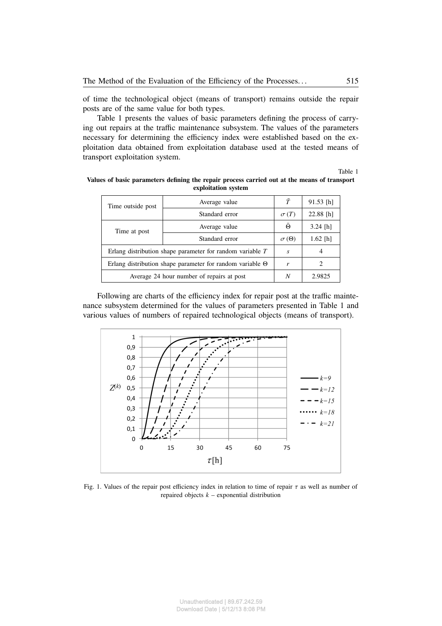of time the technological object (means of transport) remains outside the repair posts are of the same value for both types.

Table 1 presents the values of basic parameters defining the process of carrying out repairs at the traffic maintenance subsystem. The values of the parameters necessary for determining the efficiency index were established based on the exploitation data obtained from exploitation database used at the tested means of transport exploitation system.

Table 1

| Time outside post                                                | Average value  | $\bar{T}$        | $91.53$ [h] |
|------------------------------------------------------------------|----------------|------------------|-------------|
|                                                                  | Standard error | $\sigma(T)$      | $22.88$ [h] |
| Time at post                                                     | Average value  | Θ                | $3.24$ [h]  |
|                                                                  | Standard error | $\sigma(\Theta)$ | $1.62$ [h]  |
| Erlang distribution shape parameter for random variable $T$      |                | $\mathcal{S}$    | 4           |
| Erlang distribution shape parameter for random variable $\Theta$ |                | r                | 2           |
| Average 24 hour number of repairs at post                        |                | N                | 2.9825      |

**Values of basic parameters defining the repair process carried out at the means of transport exploitation system**

Following are charts of the efficiency index for repair post at the traffic maintenance subsystem determined for the values of parameters presented in Table 1 and various values of numbers of repaired technological objects (means of transport).



Fig. 1. Values of the repair post efficiency index in relation to time of repair  $\tau$  as well as number of repaired objects *k* – exponential distribution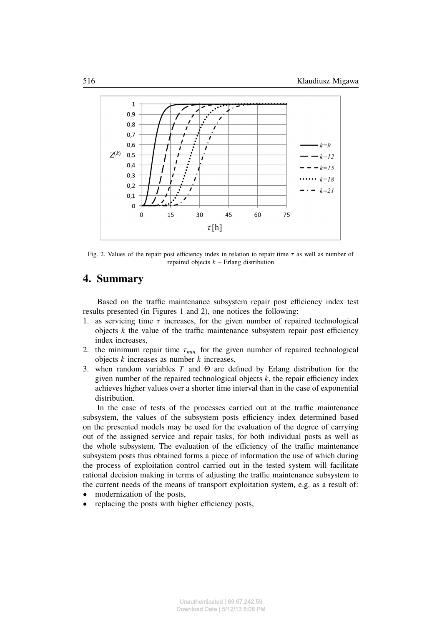

Fig. 2. Values of the repair post efficiency index in relation to repair time  $\tau$  as well as number of repaired objects *k* – Erlang distribution

# **4. Summary**

Based on the traffic maintenance subsystem repair post efficiency index test results presented (in Figures 1 and 2), one notices the following:

- 1. as servicing time  $\tau$  increases, for the given number of repaired technological objects  $k$  the value of the traffic maintenance subsystem repair post efficiency index increases,
- 2. the minimum repair time  $\tau_{min}$  for the given number of repaired technological objects *k* increases as number *k* increases,
- 3. when random variables *T* and Θ are defined by Erlang distribution for the given number of the repaired technological objects  $k$ , the repair efficiency index achieves higher values over a shorter time interval than in the case of exponential distribution.

In the case of tests of the processes carried out at the traffic maintenance subsystem, the values of the subsystem posts efficiency index determined based on the presented models may be used for the evaluation of the degree of carrying out of the assigned service and repair tasks, for both individual posts as well as the whole subsystem. The evaluation of the efficiency of the traffic maintenance subsystem posts thus obtained forms a piece of information the use of which during the process of exploitation control carried out in the tested system will facilitate rational decision making in terms of adjusting the traffic maintenance subsystem to the current needs of the means of transport exploitation system, e.g. as a result of:

- modernization of the posts.
- replacing the posts with higher efficiency posts,